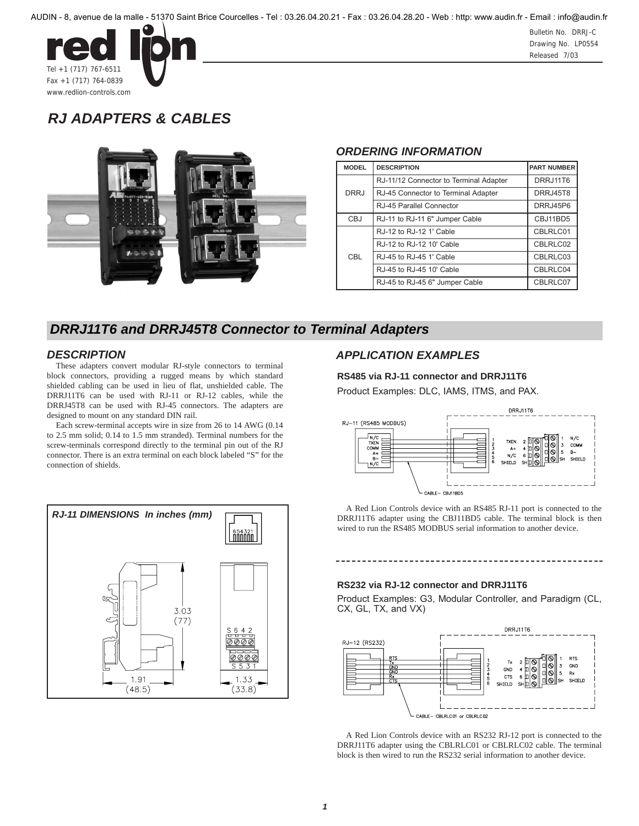

Bulletin No. DRRJ-C Drawing No. LP0554 Released 7/03

# *RJ ADAPTERS & CABLES*



#### *ORDERING INFORMATION*

| <b>MODEL</b> | <b>DESCRIPTION</b>                     | <b>PART NUMBER</b> |
|--------------|----------------------------------------|--------------------|
| <b>DRRJ</b>  | RJ-11/12 Connector to Terminal Adapter | DRRJ11T6           |
|              | RJ-45 Connector to Terminal Adapter    | <b>DRRJ45T8</b>    |
|              | RJ-45 Parallel Connector               | DRRJ45P6           |
| CBJ          | RJ-11 to RJ-11 6" Jumper Cable         | CBJ11BD5           |
| CBL          | RJ-12 to RJ-12 1' Cable                | CBLRLC01           |
|              | RJ-12 to RJ-12 10' Cable               | CBLRLC02           |
|              | RJ-45 to RJ-45 1' Cable                | CBLRLC03           |
|              | RJ-45 to RJ-45 10' Cable               | CBLRLC04           |
|              | RJ-45 to RJ-45 6" Jumper Cable         | CBLRLC07           |

## *DRRJ11T6 and DRRJ45T8 Connector to Terminal Adapters*

#### *DESCRIPTION*

These adapters convert modular RJ-style connectors to terminal block connectors, providing a rugged means by which standard shielded cabling can be used in lieu of flat, unshielded cable. The DRRJ11T6 can be used with RJ-11 or RJ-12 cables, while the DRRJ45T8 can be used with RJ-45 connectors. The adapters are designed to mount on any standard DIN rail.

Each screw-terminal accepts wire in size from 26 to 14 AWG (0.14 to 2.5 mm solid; 0.14 to 1.5 mm stranded). Terminal numbers for the screw-terminals correspond directly to the terminal pin out of the RJ connector. There is an extra terminal on each block labeled "S" for the connection of shields.



### *APPLICATION EXAMPLES*

#### **RS485 via RJ-11 connector and DRRJ11T6**

Product Examples: DLC, IAMS, ITMS, and PAX.



A Red Lion Controls device with an RS485 RJ-11 port is connected to the DRRJ11T6 adapter using the CBJ11BD5 cable. The terminal block is then wired to run the RS485 MODBUS serial information to another device.

#### **RS232 via RJ-12 connector and DRRJ11T6**

Product Examples: G3, Modular Controller, and Paradigm (CL, CX, GL, TX, and VX)



A Red Lion Controls device with an RS232 RJ-12 port is connected to the DRRJ11T6 adapter using the CBLRLC01 or CBLRLC02 cable. The terminal block is then wired to run the RS232 serial information to another device.